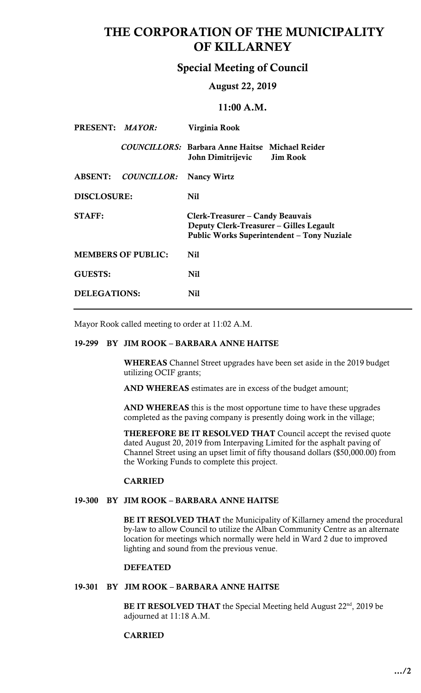# THE CORPORATION OF THE MUNICIPALITY OF KILLARNEY

## Special Meeting of Council

### August 22, 2019

# 11:00 A.M.

| PRESENT: MAYOR:           |             | Virginia Rook                                                                                                                    |                 |
|---------------------------|-------------|----------------------------------------------------------------------------------------------------------------------------------|-----------------|
|                           |             | <b>COUNCILLORS: Barbara Anne Haitse Michael Reider</b><br>John Dimitrijevic                                                      | <b>Jim Rook</b> |
| <b>ABSENT:</b>            | COUNCILLOR: | <b>Nancy Wirtz</b>                                                                                                               |                 |
| <b>DISCLOSURE:</b>        |             | Nil                                                                                                                              |                 |
| <b>STAFF:</b>             |             | Clerk-Treasurer – Candy Beauvais<br>Deputy Clerk-Treasurer – Gilles Legault<br><b>Public Works Superintendent – Tony Nuziale</b> |                 |
| <b>MEMBERS OF PUBLIC:</b> |             | Nil                                                                                                                              |                 |
| <b>GUESTS:</b>            |             | Nil                                                                                                                              |                 |
| DELEGATIONS:              |             | Nil                                                                                                                              |                 |

Mayor Rook called meeting to order at 11:02 A.M.

### 19-299 BY JIM ROOK – BARBARA ANNE HAITSE

WHEREAS Channel Street upgrades have been set aside in the 2019 budget utilizing OCIF grants;

AND WHEREAS estimates are in excess of the budget amount;

AND WHEREAS this is the most opportune time to have these upgrades completed as the paving company is presently doing work in the village;

THEREFORE BE IT RESOLVED THAT Council accept the revised quote dated August 20, 2019 from Interpaving Limited for the asphalt paving of Channel Street using an upset limit of fifty thousand dollars (\$50,000.00) from the Working Funds to complete this project.

# CARRIED<br>19-300 BY JIM ROOK – BARBARA ANNE HAITSE

BE IT RESOLVED THAT the Municipality of Killarney amend the procedural location for meetings which normally were held in Ward 2 due to improved lighting and sound from the previous venue. by-law to allow Council to utilize the Alban Community Centre as an alternate

### **DEFEATED**

### 19-301 BY JIM ROOK – BARBARA ANNE HAITSE

**BE IT RESOLVED THAT** the Special Meeting held August  $22<sup>nd</sup>$ , 2019 be adjourned at 11:18 A.M.

### CARRIED